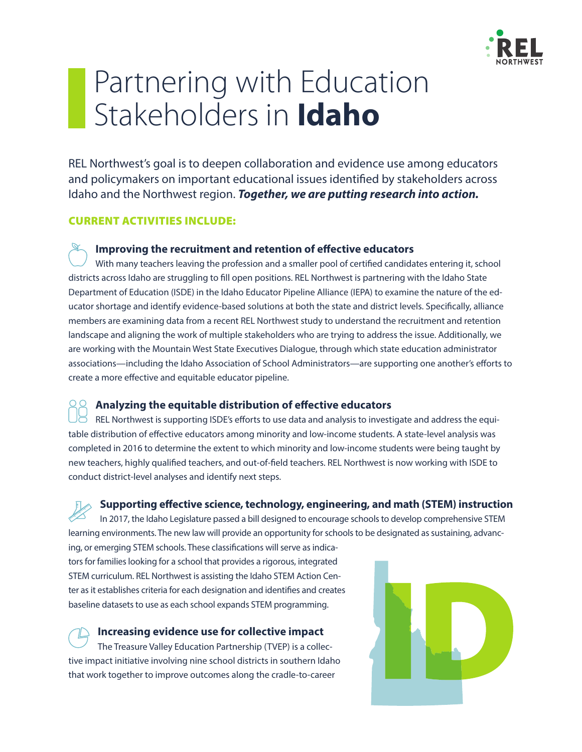

# Partnering with Education Stakeholders in **Idaho**

REL Northwest's goal is to deepen collaboration and evidence use among educators and policymakers on important educational issues identified by stakeholders across Idaho and the Northwest region. *Together, we are putting research into action.* 

## CURRENT ACTIVITIES INCLUDE:

## **Improving the recruitment and retention of effective educators**

With many teachers leaving the profession and a smaller pool of certified candidates entering it, school districts across Idaho are struggling to fill open positions. REL Northwest is partnering with the Idaho State Department of Education (ISDE) in the Idaho Educator Pipeline Alliance (IEPA) to examine the nature of the educator shortage and identify evidence-based solutions at both the state and district levels. Specifically, alliance members are examining data from a recent REL Northwest study to understand the recruitment and retention landscape and aligning the work of multiple stakeholders who are trying to address the issue. Additionally, we are working with the Mountain West State Executives Dialogue, through which state education administrator associations—including the Idaho Association of School Administrators—are supporting one another's efforts to create a more effective and equitable educator pipeline.

#### **Analyzing the equitable distribution of effective educators**

REL Northwest is supporting ISDE's efforts to use data and analysis to investigate and address the equitable distribution of effective educators among minority and low-income students. A state-level analysis was completed in 2016 to determine the extent to which minority and low-income students were being taught by new teachers, highly qualified teachers, and out-of-field teachers. REL Northwest is now working with ISDE to conduct district-level analyses and identify next steps.

**Supporting effective science, technology, engineering, and math (STEM) instruction**  In 2017, the Idaho Legislature passed a bill designed to encourage schools to develop comprehensive STEM learning environments. The new law will provide an opportunity for schools to be designated as sustaining, advanc-

ing, or emerging STEM schools. These classifications will serve as indicators for families looking for a school that provides a rigorous, integrated STEM curriculum. REL Northwest is assisting the Idaho STEM Action Center as it establishes criteria for each designation and identifies and creates baseline datasets to use as each school expands STEM programming.

**Increasing evidence use for collective impact** The Treasure Valley Education Partnership (TVEP) is a collective impact initiative involving nine school districts in southern Idaho that work together to improve outcomes along the cradle-to-career